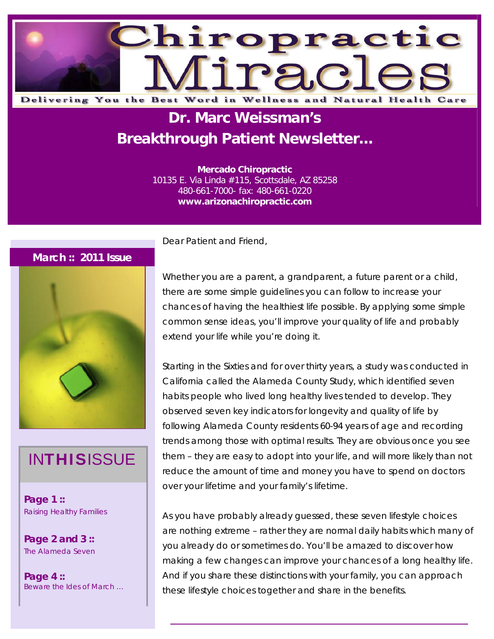

# **Dr. Marc Weissman's Breakthrough Patient Newsletter...**

**Mercado Chiropractic**  10135 E. Via Linda #115, Scottsdale, AZ 85258 480-661-7000- fax: 480-661-0220 **www.arizonachiropractic.com**

### **March :: 2011 Issue**



## **INTHISISSUE**

**Page 1 ::**  Raising Healthy Families

**Page 2 and 3 ::**  The Alameda Seven

**Page 4 ::**  Beware the Ides of March … Dear Patient and Friend,

Whether you are a parent, a grandparent, a future parent or a child, there are some simple guidelines you can follow to increase your chances of having the healthiest life possible. By applying some simple common sense ideas, you'll improve your quality of life and probably extend your life while you're doing it.

Starting in the Sixties and for over thirty years, a study was conducted in California called the Alameda County Study, which identified seven habits people who lived long healthy lives tended to develop. They observed seven key indicators for longevity and quality of life by following Alameda County residents 60-94 years of age and recording trends among those with optimal results. They are obvious once you see them – they are easy to adopt into your life, and will more likely than not reduce the amount of time and money you have to spend on doctors over your lifetime and your family's lifetime.

As you have probably already guessed, these seven lifestyle choices are nothing extreme – rather they are normal daily habits which many of you already do or sometimes do. You'll be amazed to discover how making a few changes can improve your chances of a long healthy life. And if you share these distinctions with your family, you can approach these lifestyle choices together and share in the benefits.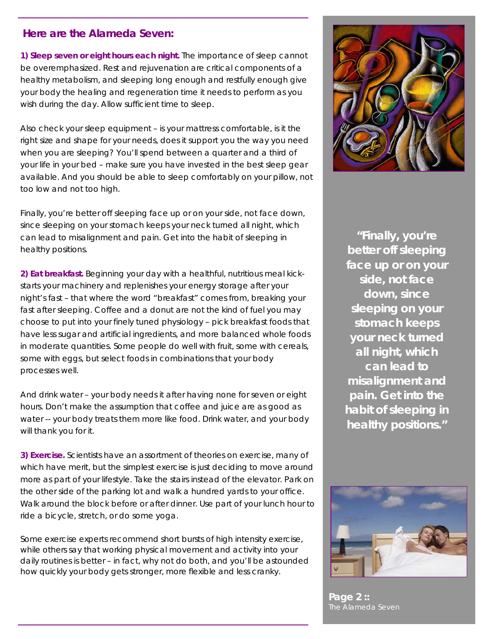### **Here are the Alameda Seven:**

**1) Sleep seven or eight hours each night.** The importance of sleep cannot be overemphasized. Rest and rejuvenation are critical components of a healthy metabolism, and sleeping long enough and restfully enough give your body the healing and regeneration time it needs to perform as you wish during the day. Allow sufficient time to sleep.

Also check your sleep equipment – is your mattress comfortable, is it the right size and shape for your needs, does it support you the way you need when you are sleeping? You'll spend between a quarter and a third of your life in your bed – make sure you have invested in the best sleep gear available. And you should be able to sleep comfortably on your pillow, not too low and not too high.

Finally, you're better off sleeping face up or on your side, not face down, since sleeping on your stomach keeps your neck turned all night, which can lead to misalignment and pain. Get into the habit of sleeping in healthy positions.

**2) Eat breakfast.** Beginning your day with a healthful, nutritious meal kickstarts your machinery and replenishes your energy storage after your night's fast – that where the word "breakfast" comes from, breaking your fast after sleeping. Coffee and a donut are not the kind of fuel you may choose to put into your finely tuned physiology – pick breakfast foods that have less sugar and artificial ingredients, and more balanced whole foods in moderate quantities. Some people do well with fruit, some with cereals, some with eggs, but select foods in combinations that your body processes well.

And drink water – your body needs it after having none for seven or eight hours. Don't make the assumption that coffee and juice are as good as water -- your body treats them more like food. Drink water, and your body will thank you for it.

**3) Exercise.** Scientists have an assortment of theories on exercise, many of which have merit, but the simplest exercise is just deciding to move around more as part of your lifestyle. Take the stairs instead of the elevator. Park on the other side of the parking lot and walk a hundred yards to your office. Walk around the block before or after dinner. Use part of your lunch hour to ride a bicycle, stretch, or do some yoga.

Some exercise experts recommend short bursts of high intensity exercise, while others say that working physical movement and activity into your daily routines is better – in fact, why not do both, and you'll be astounded how quickly your body gets stronger, more flexible and less cranky.



*"Finally, you're better off sleeping face up or on your side, not face down, since sleeping on your stomach keeps your neck turned all night, which can lead to misalignment and pain. Get into the habit of sleeping in healthy positions."* 



**Page 2 ::**  The Alameda Seven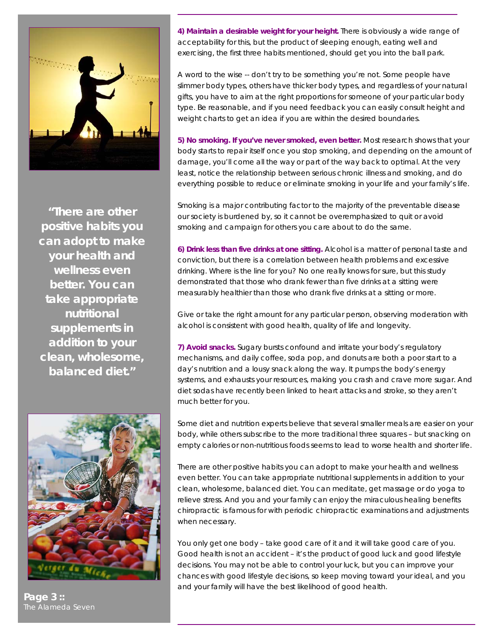

*"There are other positive habits you can adopt to make your health and wellness even better. You can take appropriate nutritional supplements in addition to your clean, wholesome, balanced diet."* 



**Page 3 ::**  The Alameda Seven

**4) Maintain a desirable weight for your height.** There is obviously a wide range of acceptability for this, but the product of sleeping enough, eating well and exercising, the first three habits mentioned, should get you into the ball park.

A word to the wise -- don't try to be something you're not. Some people have slimmer body types, others have thicker body types, and regardless of your natural gifts, you have to aim at the right proportions for someone of your particular body type. Be reasonable, and if you need feedback you can easily consult height and weight charts to get an idea if you are within the desired boundaries.

**5) No smoking. If you've never smoked, even better.** Most research shows that your body starts to repair itself once you stop smoking, and depending on the amount of damage, you'll come all the way or part of the way back to optimal. At the very least, notice the relationship between serious chronic illness and smoking, and do everything possible to reduce or eliminate smoking in your life and your family's life.

Smoking is a major contributing factor to the majority of the preventable disease our society is burdened by, so it cannot be overemphasized to quit or avoid smoking and campaign for others you care about to do the same.

**6) Drink less than five drinks at one sitting.** Alcohol is a matter of personal taste and conviction, but there is a correlation between health problems and excessive drinking. Where is the line for you? No one really knows for sure, but this study demonstrated that those who drank fewer than five drinks at a sitting were measurably healthier than those who drank five drinks at a sitting or more.

Give or take the right amount for any particular person, observing moderation with alcohol is consistent with good health, quality of life and longevity.

**7) Avoid snacks.** Sugary bursts confound and irritate your body's regulatory mechanisms, and daily coffee, soda pop, and donuts are both a poor start to a day's nutrition and a lousy snack along the way. It pumps the body's energy systems, and exhausts your resources, making you crash and crave more sugar. And diet sodas have recently been linked to heart attacks and stroke, so they aren't much better for you.

Some diet and nutrition experts believe that several smaller meals are easier on your body, while others subscribe to the more traditional three squares – but snacking on empty calories or non-nutritious foods seems to lead to worse health and shorter life.

There are other positive habits you can adopt to make your health and wellness even better. You can take appropriate nutritional supplements in addition to your clean, wholesome, balanced diet. You can meditate, get massage or do yoga to relieve stress. And you and your family can enjoy the miraculous healing benefits chiropractic is famous for with periodic chiropractic examinations and adjustments when necessary.

You only get one body – take good care of it and it will take good care of you. Good health is not an accident – it's the product of good luck and good lifestyle decisions. You may not be able to control your luck, but you can improve your chances with good lifestyle decisions, so keep moving toward your ideal, and you and your family will have the best likelihood of good health.